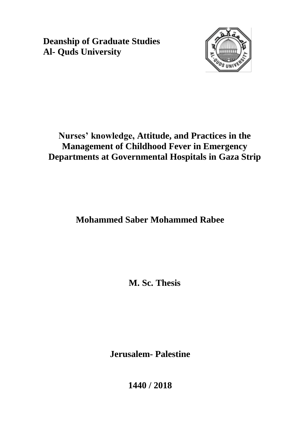**Deanship of Graduate Studies Al- Quds University**



# **Nurses' knowledge, Attitude, and Practices in the Management of Childhood Fever in Emergency Departments at Governmental Hospitals in Gaza Strip**

**Mohammed Saber Mohammed Rabee**

**M. Sc. Thesis**

**Jerusalem- Palestine**

**1440 / 2018**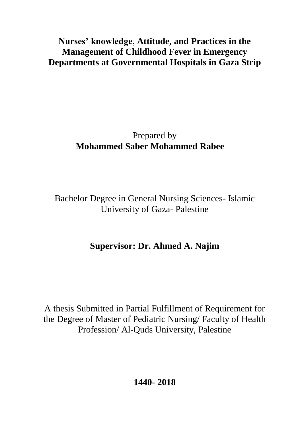# **Nurses' knowledge, Attitude, and Practices in the Management of Childhood Fever in Emergency Departments at Governmental Hospitals in Gaza Strip**

# Prepared by **Mohammed Saber Mohammed Rabee**

Bachelor Degree in General Nursing Sciences- Islamic University of Gaza- Palestine

# **Supervisor: Dr. Ahmed A. Najim**

A thesis Submitted in Partial Fulfillment of Requirement for the Degree of Master of Pediatric Nursing/ Faculty of Health Profession/ Al-Quds University, Palestine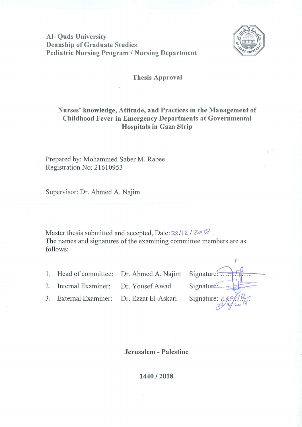**Al- Quds University Deanship of Graduate Studies Pediatric Nursing Program / Nursing Department** 



#### **Thesis Approval**

#### Nurses' knowledge, Attitude, and Practices in the Management of **Childhood Fever in Emergency Departments at Governmental Hospitals in Gaza Strip**

Prepared by: Mohammed Saber M. Rabee Registration No: 21610953

Supervisor: Dr. Ahmed A. Najim

Master thesis submitted and accepted, Date:  $22/12/20$ The names and signatures of the examining committee members are as follows:

1. Head of committee: Dr. Ahmed A. Najim

2. Internal Examiner: Dr. Yousef Awad

3. External Examiner: Dr. Ezzat El-Askari

| Signature:                |
|---------------------------|
| Signature:                |
| Signature: $\ell$<br>2018 |
|                           |

Jerusalem - Palestine

1440/2018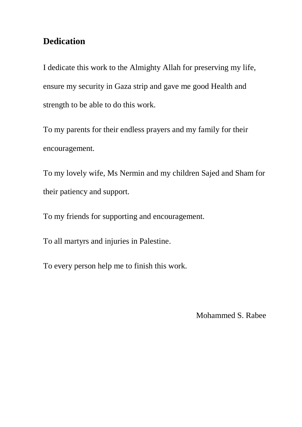## **Dedication**

I dedicate this work to the Almighty Allah for preserving my life, ensure my security in Gaza strip and gave me good Health and strength to be able to do this work.

To my parents for their endless prayers and my family for their encouragement.

To my lovely wife, Ms Nermin and my children Sajed and Sham for their patiency and support.

To my friends for supporting and encouragement.

To all martyrs and injuries in Palestine.

To every person help me to finish this work.

Mohammed S. Rabee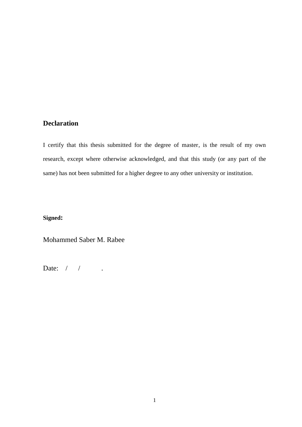### **Declaration**

I certify that this thesis submitted for the degree of master, is the result of my own research, except where otherwise acknowledged, and that this study (or any part of the same) has not been submitted for a higher degree to any other university or institution.

**Signed:**

Mohammed Saber M. Rabee

Date: / / .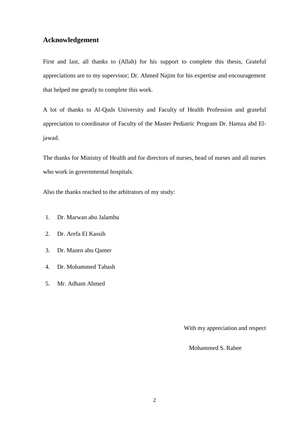#### **Acknowledgement**

First and last, all thanks to (Allah) for his support to complete this thesis, Grateful appreciations are to my supervisor; Dr. Ahmed Najim for his expertise and encouragement that helped me greatly to complete this work.

A lot of thanks to Al-Quds University and Faculty of Health Profession and grateful appreciation to coordinator of Faculty of the Master Pediatric Program Dr. Hamza abd Eljawad.

The thanks for Ministry of Health and for directors of nurses, head of nurses and all nurses who work in governmental hospitals.

Also the thanks reached to the arbitrators of my study:

- 1. Dr. Marwan abu Jalambu
- 2. Dr. Arefa El Kassih
- 3. Dr. Mazen abu Qamer
- 4. Dr. Mohammed Tabash
- 5. Mr. Adham Ahmed

With my appreciation and respect

Mohammed S. Rabee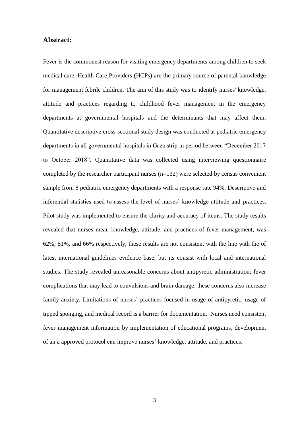#### **Abstract:**

Fever is the commonest reason for visiting emergency departments among children to seek medical care. Health Care Providers (HCPs) are the primary source of parental knowledge for management febrile children. The aim of this study was to identify nurses' knowledge, attitude and practices regarding to childhood fever management in the emergency departments at governmental hospitals and the determinants that may affect them. Quantitative descriptive cross-sectional study design was conducted at pediatric emergency departments in all governmental hospitals in Gaza strip in period between "December 2017 to October 2018". Quantitative data was collected using interviewing questionnaire completed by the researcher participant nurses (n=132) were selected by census convenient sample from 8 pediatric emergency departments with a response rate 94%. Descriptive and inferential statistics used to assess the level of nurses' knowledge attitude and practices. Pilot study was implemented to ensure the clarity and accuracy of items. The study results revealed that nurses mean knowledge, attitude, and practices of fever management, was 62%, 51%, and 66% respectively, these results are not consistent with the line with the of latest international guidelines evidence base, but its consist with local and international studies. The study revealed unreasonable concerns about antipyretic administration; fever complications that may lead to convulsions and brain damage, these concerns also increase family anxiety. Limitations of nurses' practices focused in usage of antipyretic, usage of tipped sponging, and medical record is a barrier for documentation. Nurses need consistent fever management information by implementation of educational programs, development of an a approved protocol can improve nurses' knowledge, attitude, and practices.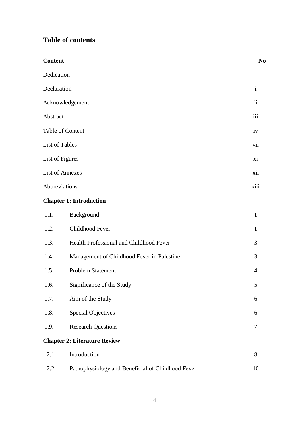### **Table of contents**

| <b>Content</b>         |                                                   | N <sub>o</sub>           |
|------------------------|---------------------------------------------------|--------------------------|
| Dedication             |                                                   |                          |
| Declaration            |                                                   | $\mathbf{i}$             |
|                        | Acknowledgement                                   | $\overline{\mathbf{ii}}$ |
| Abstract               |                                                   | iii                      |
|                        | Table of Content                                  | iv                       |
| List of Tables         |                                                   | vii                      |
| List of Figures        |                                                   | xi                       |
| <b>List of Annexes</b> |                                                   | xii                      |
| Abbreviations          |                                                   | xiii                     |
|                        | <b>Chapter 1: Introduction</b>                    |                          |
| 1.1.                   | Background                                        | $\mathbf{1}$             |
| 1.2.                   | Childhood Fever                                   | $\mathbf{1}$             |
| 1.3.                   | Health Professional and Childhood Fever           | 3                        |
| 1.4.                   | Management of Childhood Fever in Palestine        | 3                        |
| 1.5.                   | Problem Statement                                 | 4                        |
| 1.6.                   | Significance of the Study                         | 5                        |
| 1.7.                   | Aim of the Study                                  | 6                        |
| 1.8.                   | <b>Special Objectives</b>                         | 6                        |
| 1.9.                   | <b>Research Questions</b>                         | 7                        |
|                        | <b>Chapter 2: Literature Review</b>               |                          |
| 2.1.                   | Introduction                                      | 8                        |
| 2.2.                   | Pathophysiology and Beneficial of Childhood Fever | 10                       |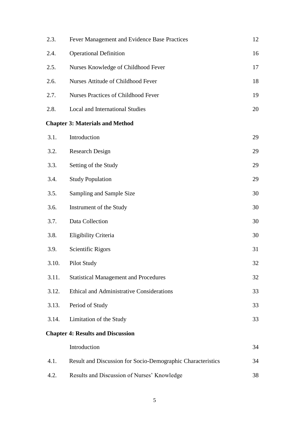| 2.3.  | Fever Management and Evidence Base Practices                | 12 |
|-------|-------------------------------------------------------------|----|
| 2.4.  | <b>Operational Definition</b>                               | 16 |
| 2.5.  | Nurses Knowledge of Childhood Fever                         | 17 |
| 2.6.  | Nurses Attitude of Childhood Fever                          | 18 |
| 2.7.  | <b>Nurses Practices of Childhood Fever</b>                  | 19 |
| 2.8.  | <b>Local and International Studies</b>                      | 20 |
|       | <b>Chapter 3: Materials and Method</b>                      |    |
| 3.1.  | Introduction                                                | 29 |
| 3.2.  | <b>Research Design</b>                                      | 29 |
| 3.3.  | Setting of the Study                                        | 29 |
| 3.4.  | <b>Study Population</b>                                     | 29 |
| 3.5.  | Sampling and Sample Size                                    | 30 |
| 3.6.  | Instrument of the Study                                     | 30 |
| 3.7.  | Data Collection                                             | 30 |
| 3.8.  | Eligibility Criteria                                        | 30 |
| 3.9.  | Scientific Rigors                                           | 31 |
| 3.10. | Pilot Study                                                 | 32 |
| 3.11. | <b>Statistical Management and Procedures</b>                | 32 |
| 3.12. | Ethical and Administrative Considerations                   | 33 |
| 3.13. | Period of Study                                             | 33 |
| 3.14. | Limitation of the Study                                     | 33 |
|       | <b>Chapter 4: Results and Discussion</b>                    |    |
|       | Introduction                                                | 34 |
| 4.1.  | Result and Discussion for Socio-Demographic Characteristics | 34 |
| 4.2.  | Results and Discussion of Nurses' Knowledge                 | 38 |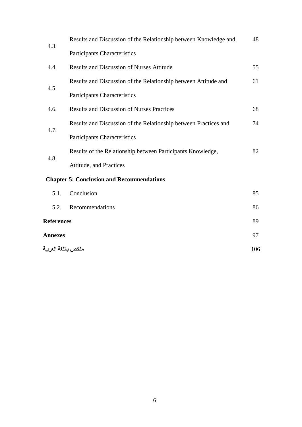| 4.3.       | Results and Discussion of the Relationship between Knowledge and |    |
|------------|------------------------------------------------------------------|----|
|            | Participants Characteristics                                     |    |
| 4.4.       | <b>Results and Discussion of Nurses Attitude</b>                 | 55 |
| 4.5.       | Results and Discussion of the Relationship between Attitude and  | 61 |
|            | Participants Characteristics                                     |    |
| 4.6.       | <b>Results and Discussion of Nurses Practices</b>                | 68 |
| 4.7.       | Results and Discussion of the Relationship between Practices and | 74 |
|            | <b>Participants Characteristics</b>                              |    |
| 4.8.       | Results of the Relationship between Participants Knowledge,      | 82 |
|            | Attitude, and Practices                                          |    |
|            | <b>Chapter 5: Conclusion and Recommendations</b>                 |    |
| 5.1.       | Conclusion                                                       | 85 |
| 5.2.       | Recommendations                                                  | 86 |
| References |                                                                  | 89 |
|            |                                                                  |    |

| <b>Annexes</b>      | $Q^{\sim}$ |
|---------------------|------------|
| ملخص باللغة العربية | 106        |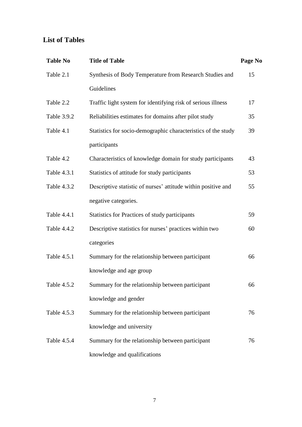### **List of Tables**

| <b>Table No</b> | <b>Title of Table</b>                                         | Page No |
|-----------------|---------------------------------------------------------------|---------|
| Table 2.1       | Synthesis of Body Temperature from Research Studies and       | 15      |
|                 | Guidelines                                                    |         |
| Table 2.2       | Traffic light system for identifying risk of serious illness  | 17      |
| Table 3.9.2     | Reliabilities estimates for domains after pilot study         | 35      |
| Table 4.1       | Statistics for socio-demographic characteristics of the study | 39      |
|                 | participants                                                  |         |
| Table 4.2       | Characteristics of knowledge domain for study participants    | 43      |
| Table 4.3.1     | Statistics of attitude for study participants                 | 53      |
| Table 4.3.2     | Descriptive statistic of nurses' attitude within positive and | 55      |
|                 | negative categories.                                          |         |
| Table 4.4.1     | Statistics for Practices of study participants                | 59      |
| Table 4.4.2     | Descriptive statistics for nurses' practices within two       | 60      |
|                 | categories                                                    |         |
| Table 4.5.1     | Summary for the relationship between participant              | 66      |
|                 | knowledge and age group                                       |         |
| Table 4.5.2     | Summary for the relationship between participant              | 66      |
|                 | knowledge and gender                                          |         |
| Table 4.5.3     | Summary for the relationship between participant              | 76      |
|                 | knowledge and university                                      |         |
| Table 4.5.4     | Summary for the relationship between participant              | 76      |
|                 | knowledge and qualifications                                  |         |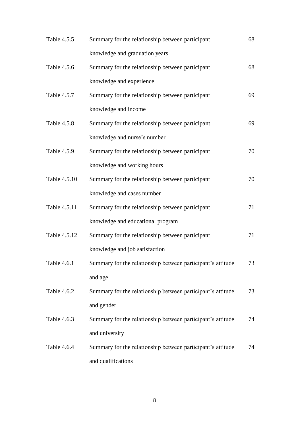| Table 4.5.5  | Summary for the relationship between participant            | 68 |
|--------------|-------------------------------------------------------------|----|
|              | knowledge and graduation years                              |    |
| Table 4.5.6  | Summary for the relationship between participant            | 68 |
|              | knowledge and experience                                    |    |
| Table 4.5.7  | Summary for the relationship between participant            | 69 |
|              | knowledge and income                                        |    |
| Table 4.5.8  | Summary for the relationship between participant            | 69 |
|              | knowledge and nurse's number                                |    |
| Table 4.5.9  | Summary for the relationship between participant            | 70 |
|              | knowledge and working hours                                 |    |
| Table 4.5.10 | Summary for the relationship between participant            | 70 |
|              | knowledge and cases number                                  |    |
| Table 4.5.11 | Summary for the relationship between participant            | 71 |
|              | knowledge and educational program                           |    |
| Table 4.5.12 | Summary for the relationship between participant            | 71 |
|              | knowledge and job satisfaction                              |    |
| Table 4.6.1  | Summary for the relationship between participant's attitude | 73 |
|              | and age                                                     |    |
| Table 4.6.2  | Summary for the relationship between participant's attitude | 73 |
|              | and gender                                                  |    |
| Table 4.6.3  | Summary for the relationship between participant's attitude | 74 |
|              | and university                                              |    |
| Table 4.6.4  | Summary for the relationship between participant's attitude | 74 |
|              | and qualifications                                          |    |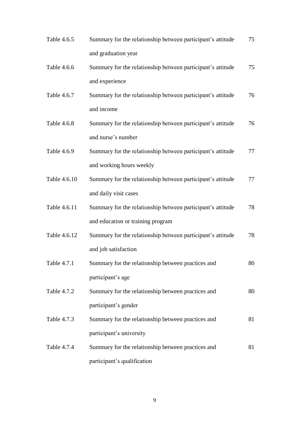| Table 4.6.5  | Summary for the relationship between participant's attitude | 75 |
|--------------|-------------------------------------------------------------|----|
|              | and graduation year                                         |    |
| Table 4.6.6  | Summary for the relationship between participant's attitude | 75 |
|              | and experience                                              |    |
| Table 4.6.7  | Summary for the relationship between participant's attitude | 76 |
|              | and income                                                  |    |
| Table 4.6.8  | Summary for the relationship between participant's attitude | 76 |
|              | and nurse's number                                          |    |
| Table 4.6.9  | Summary for the relationship between participant's attitude | 77 |
|              | and working hours weekly                                    |    |
| Table 4.6.10 | Summary for the relationship between participant's attitude | 77 |
|              | and daily visit cases                                       |    |
| Table 4.6.11 | Summary for the relationship between participant's attitude | 78 |
|              | and education or training program                           |    |
| Table 4.6.12 | Summary for the relationship between participant's attitude | 78 |
|              | and job satisfaction                                        |    |
| Table 4.7.1  | Summary for the relationship between practices and          | 80 |
|              | participant's age                                           |    |
| Table 4.7.2  | Summary for the relationship between practices and          | 80 |
|              | participant's gender                                        |    |
| Table 4.7.3  | Summary for the relationship between practices and          | 81 |
|              | participant's university                                    |    |
| Table 4.7.4  | Summary for the relationship between practices and          | 81 |
|              | participant's qualification                                 |    |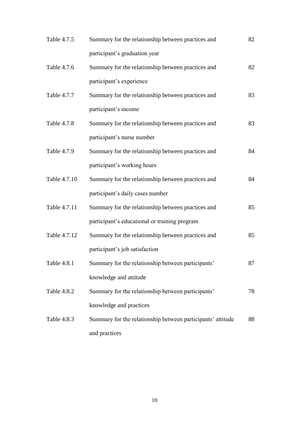| Table 4.7.5  | Summary for the relationship between practices and          | 82 |
|--------------|-------------------------------------------------------------|----|
|              | participant's graduation year                               |    |
| Table 4.7.6  | Summary for the relationship between practices and          | 82 |
|              | participant's experience                                    |    |
| Table 4.7.7  | Summary for the relationship between practices and          | 83 |
|              | participant's income                                        |    |
| Table 4.7.8  | Summary for the relationship between practices and          | 83 |
|              | participant's nurse number                                  |    |
| Table 4.7.9  | Summary for the relationship between practices and          | 84 |
|              | participant's working hours                                 |    |
| Table 4.7.10 | Summary for the relationship between practices and          | 84 |
|              | participant's daily cases number                            |    |
| Table 4.7.11 | Summary for the relationship between practices and          | 85 |
|              | participant's educational or training program               |    |
| Table 4.7.12 | Summary for the relationship between practices and          | 85 |
|              | participant's job satisfaction                              |    |
| Table 4.8.1  | Summary for the relationship between participants'          | 87 |
|              | knowledge and attitude                                      |    |
| Table 4.8.2  | Summary for the relationship between participants'          | 78 |
|              | knowledge and practices                                     |    |
| Table 4.8.3  | Summary for the relationship between participants' attitude | 88 |
|              | and practices                                               |    |